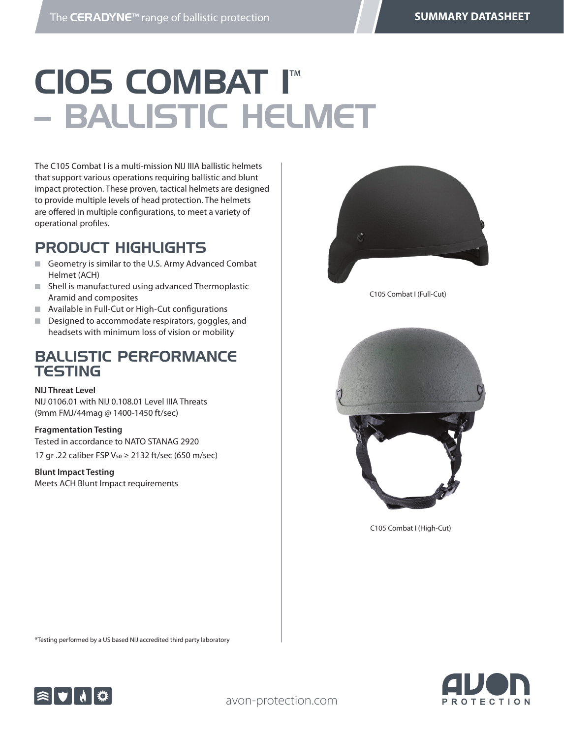# **CIOS COMBAT IM** – BALLISTIC HELMET

The C105 Combat I is a multi-mission NIJ IIIA ballistic helmets that support various operations requiring ballistic and blunt impact protection. These proven, tactical helmets are designed to provide multiple levels of head protection. The helmets are offered in multiple configurations, to meet a variety of operational profiles.

### PRODUCT HIGHLIGHTS

- Geometry is similar to the U.S. Army Advanced Combat Helmet (ACH)
- $\blacksquare$  Shell is manufactured using advanced Thermoplastic Aramid and composites
- Available in Full-Cut or High-Cut configurations
- Designed to accommodate respirators, goggles, and headsets with minimum loss of vision or mobility

#### BALLISTIC PERFORMANCE **TESTING**

#### **NIJ Threat Level**

NIJ 0106.01 with NIJ 0.108.01 Level IIIA Threats (9mm FMJ/44mag @ 1400-1450 ft/sec)

#### **Fragmentation Testing**

Tested in accordance to NATO STANAG 2920 17 gr .22 caliber FSP V<sub>50</sub> ≥ 2132 ft/sec (650 m/sec)

#### **Blunt Impact Testing**

Meets ACH Blunt Impact requirements



C105 Combat I (Full-Cut)



C105 Combat I (High-Cut)

\*Testing performed by a US based NIJ accredited third party laboratory